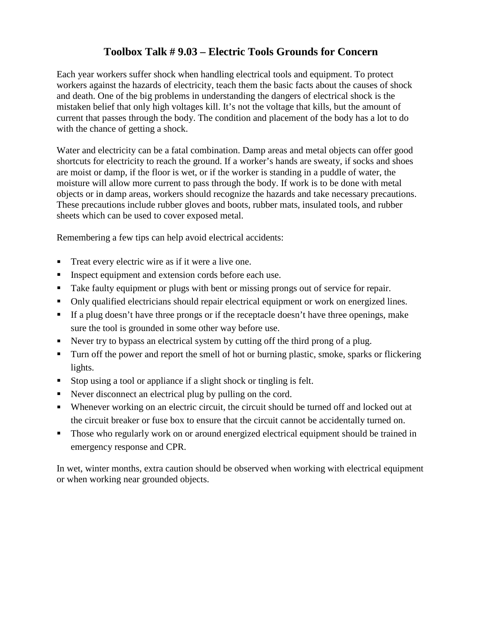## **Toolbox Talk # 9.03 – Electric Tools Grounds for Concern**

Each year workers suffer shock when handling electrical tools and equipment. To protect workers against the hazards of electricity, teach them the basic facts about the causes of shock and death. One of the big problems in understanding the dangers of electrical shock is the mistaken belief that only high voltages kill. It's not the voltage that kills, but the amount of current that passes through the body. The condition and placement of the body has a lot to do with the chance of getting a shock.

Water and electricity can be a fatal combination. Damp areas and metal objects can offer good shortcuts for electricity to reach the ground. If a worker's hands are sweaty, if socks and shoes are moist or damp, if the floor is wet, or if the worker is standing in a puddle of water, the moisture will allow more current to pass through the body. If work is to be done with metal objects or in damp areas, workers should recognize the hazards and take necessary precautions. These precautions include rubber gloves and boots, rubber mats, insulated tools, and rubber sheets which can be used to cover exposed metal.

Remembering a few tips can help avoid electrical accidents:

- Treat every electric wire as if it were a live one.
- Inspect equipment and extension cords before each use.
- Take faulty equipment or plugs with bent or missing prongs out of service for repair.
- Only qualified electricians should repair electrical equipment or work on energized lines.
- If a plug doesn't have three prongs or if the receptacle doesn't have three openings, make sure the tool is grounded in some other way before use.
- Never try to bypass an electrical system by cutting off the third prong of a plug.
- **Turn off the power and report the smell of hot or burning plastic, smoke, sparks or flickering** lights.
- Stop using a tool or appliance if a slight shock or tingling is felt.
- Never disconnect an electrical plug by pulling on the cord.
- Whenever working on an electric circuit, the circuit should be turned off and locked out at the circuit breaker or fuse box to ensure that the circuit cannot be accidentally turned on.
- Those who regularly work on or around energized electrical equipment should be trained in emergency response and CPR.

In wet, winter months, extra caution should be observed when working with electrical equipment or when working near grounded objects.